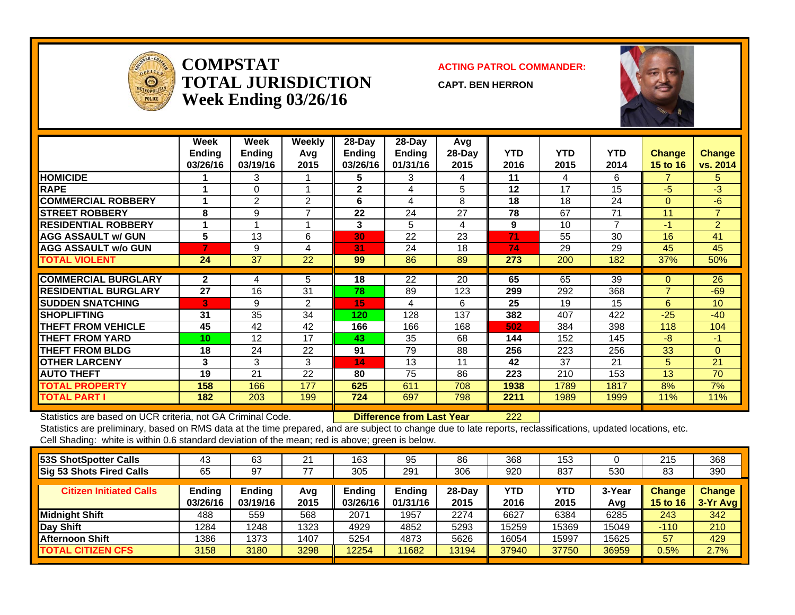

**COMPSTATTOTAL JURISDICTIONWeek Ending 03/26/16**

**ACTING PATROL COMMANDER:**

**CAPT. BEN HERRON**



|                             | Week<br><b>Ending</b><br>03/26/16 | Week<br><b>Ending</b><br>03/19/16 | <b>Weekly</b><br>Avq<br>2015 | $28$ -Day<br><b>Ending</b><br>03/26/16 | $28$ -Day<br><b>Ending</b><br>01/31/16 | Avg<br>28-Day<br>2015 | <b>YTD</b><br>2016 | YTD.<br>2015 | <b>YTD</b><br>2014 | <b>Change</b><br><b>15 to 16</b> | <b>Change</b><br>vs. 2014 |
|-----------------------------|-----------------------------------|-----------------------------------|------------------------------|----------------------------------------|----------------------------------------|-----------------------|--------------------|--------------|--------------------|----------------------------------|---------------------------|
| <b>HOMICIDE</b>             |                                   | 3                                 |                              | 5                                      | 3                                      | 4                     | 11                 | 4            | 6                  | 7                                | 5                         |
| <b>RAPE</b>                 |                                   | $\Omega$                          |                              | $\mathbf{2}$                           | 4                                      | 5                     | 12                 | 17           | 15                 | $-5$                             | $-3$                      |
| <b>COMMERCIAL ROBBERY</b>   |                                   | 2                                 | 2                            | 6                                      | 4                                      | 8                     | 18                 | 18           | 24                 | $\Omega$                         | -6                        |
| <b>STREET ROBBERY</b>       | 8                                 | 9                                 | $\overline{ }$               | 22                                     | 24                                     | 27                    | 78                 | 67           | 71                 | 11                               | $\overline{7}$            |
| <b>RESIDENTIAL ROBBERY</b>  |                                   |                                   |                              | 3                                      | 5                                      | 4                     | 9                  | 10           | $\overline{ }$     | $-1$                             | $\overline{2}$            |
| <b>AGG ASSAULT w/ GUN</b>   | 5                                 | 13                                | 6                            | 30                                     | 22                                     | 23                    | 71                 | 55           | 30                 | 16                               | 41                        |
| <b>AGG ASSAULT w/o GUN</b>  |                                   | 9                                 | 4                            | 31                                     | 24                                     | 18                    | 74                 | 29           | 29                 | 45                               | 45                        |
| TOTAL VIOLENT               | 24                                | 37                                | 22                           | 99                                     | 86                                     | 89                    | 273                | 200          | 182                | 37%                              | 50%                       |
|                             |                                   |                                   |                              |                                        |                                        |                       |                    |              |                    |                                  |                           |
| <b>COMMERCIAL BURGLARY</b>  | $\mathbf{2}$                      | 4                                 | 5                            | 18                                     | $\overline{22}$                        | 20                    | 65                 | 65           | 39                 | $\Omega$                         | 26                        |
| <b>RESIDENTIAL BURGLARY</b> | 27                                | 16                                | 31                           | 78                                     | 89                                     | 123                   | 299                | 292          | 368                | ⇁                                | $-69$                     |
| <b>SUDDEN SNATCHING</b>     | 3                                 | 9                                 | 2                            | 15                                     | 4                                      | 6                     | 25                 | 19           | 15                 | 6                                | 10                        |
| <b>SHOPLIFTING</b>          | 31                                | 35                                | 34                           | 120                                    | 128                                    | 137                   | 382                | 407          | 422                | $-25$                            | $-40$                     |
| <b>THEFT FROM VEHICLE</b>   | 45                                | 42                                | 42                           | 166                                    | 166                                    | 168                   | 502                | 384          | 398                | 118                              | 104                       |
| <b>THEFT FROM YARD</b>      | 10                                | 12                                | 17                           | 43                                     | 35                                     | 68                    | 144                | 152          | 145                | $-8$                             | $-1$                      |
| <b>THEFT FROM BLDG</b>      | 18                                | 24                                | 22                           | 91                                     | 79                                     | 88                    | 256                | 223          | 256                | 33                               | $\Omega$                  |
| <b>OTHER LARCENY</b>        | 3                                 | 3                                 | 3                            | 14                                     | 13                                     | 11                    | 42                 | 37           | 21                 | 5                                | 21                        |
| <b>AUTO THEFT</b>           | 19                                | 21                                | 22                           | 80                                     | 75                                     | 86                    | 223                | 210          | 153                | 13                               | 70                        |
| <b>TOTAL PROPERTY</b>       | 158                               | 166                               | 177                          | 625                                    | 611                                    | 708                   | 1938               | 1789         | 1817               | 8%                               | 7%                        |
| <b>TOTAL PART I</b>         | 182                               | 203                               | 199                          | 724                                    | 697                                    | 798                   | 2211               | 1989         | 1999               | 11%                              | 11%                       |

Statistics are based on UCR criteria, not GA Criminal Code. **Difference from Last Year** 222

Statistics are preliminary, based on RMS data at the time prepared, and are subject to change due to late reports, reclassifications, updated locations, etc. Cell Shading: white is within 0.6 standard deviation of the mean; red is above; green is below.

| 53S ShotSpotter Calls           | 43                 | 63                 | 21          | 163                | 95                        | 86             | 368                | 153         |               | 215                       | 368                       |
|---------------------------------|--------------------|--------------------|-------------|--------------------|---------------------------|----------------|--------------------|-------------|---------------|---------------------------|---------------------------|
| <b>Sig 53 Shots Fired Calls</b> | 65                 | 97                 | 77          | 305                | 291                       | 306            | 920                | 837         | 530           | 83                        | 390                       |
| <b>Citizen Initiated Calls</b>  | Ending<br>03/26/16 | Ending<br>03/19/16 | Avg<br>2015 | Ending<br>03/26/16 | <b>Ending</b><br>01/31/16 | 28-Day<br>2015 | <b>YTD</b><br>2016 | YTD<br>2015 | 3-Year<br>Avg | <b>Change</b><br>15 to 16 | <b>Change</b><br>3-Yr Avg |
| Midnight Shift                  | 488                | 559                | 568         | 2071               | 1957                      | 2274           | 6627               | 6384        | 6285          | 243                       | 342                       |
| Day Shift                       | 1284               | 1248               | 1323        | 4929               | 4852                      | 5293           | 15259              | 15369       | 15049         | $-110$                    | 210                       |
| <b>Afternoon Shift</b>          | 1386               | 1373               | 1407        | 5254               | 4873                      | 5626           | 16054              | 5997        | 15625         | 57                        | 429                       |
| <b>TOTAL CITIZEN CFS</b>        | 3158               | 3180               | 3298        | 12254              | 1682                      | 13194          | 37940              | 37750       | 36959         | 0.5%                      | 2.7%                      |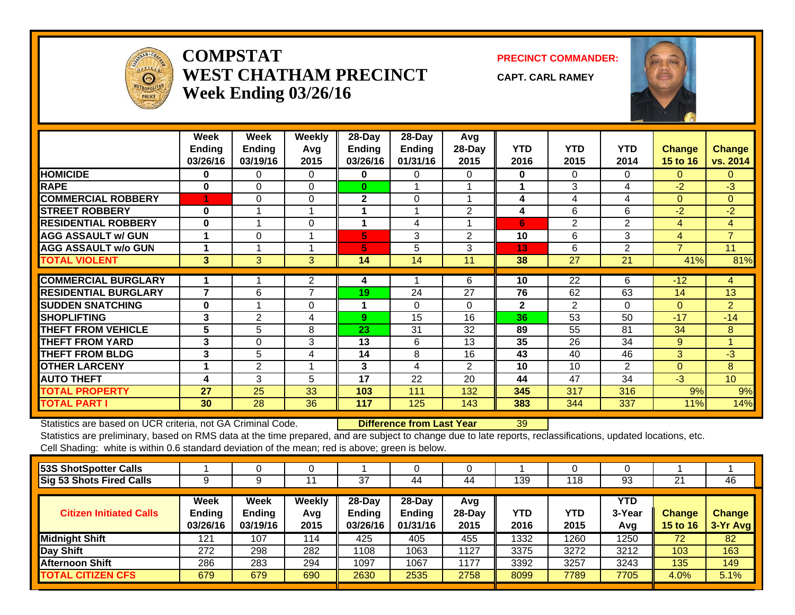

### **COMPSTATWEST CHATHAM PRECINCTWeek Ending 03/26/16**

**PRECINCT COMMANDER:**

**CAPT. CARL RAMEY**



|                             | Week<br><b>Ending</b><br>03/26/16 | Week<br><b>Ending</b><br>03/19/16 | <b>Weekly</b><br>Avg<br>2015 | 28-Day<br>Ending<br>03/26/16 | 28-Day<br>Ending<br>01/31/16 | Avg<br>28-Day<br>2015 | <b>YTD</b><br>2016 | <b>YTD</b><br>2015 | <b>YTD</b><br>2014 | <b>Change</b><br>15 to 16 | <b>Change</b><br>vs. 2014 |
|-----------------------------|-----------------------------------|-----------------------------------|------------------------------|------------------------------|------------------------------|-----------------------|--------------------|--------------------|--------------------|---------------------------|---------------------------|
| <b>HOMICIDE</b>             | $\bf{0}$                          | 0                                 | $\Omega$                     | 0                            | 0                            | 0                     | 0                  | 0                  | $\Omega$           | $\Omega$                  | $\Omega$                  |
| <b>RAPE</b>                 | $\bf{0}$                          | 0                                 | $\Omega$                     | $\bf{0}$                     |                              |                       | 4                  | 3                  | 4                  | $-2$                      | $-3$                      |
| <b>COMMERCIAL ROBBERY</b>   |                                   | 0                                 | $\Omega$                     | $\mathbf{2}$                 | $\Omega$                     |                       | 4                  | 4                  | 4                  | $\Omega$                  | $\Omega$                  |
| <b>ISTREET ROBBERY</b>      | $\bf{0}$                          |                                   |                              |                              |                              | $\overline{2}$        | 4                  | 6                  | 6                  | $-2$                      | $-2$                      |
| <b>RESIDENTIAL ROBBERY</b>  | $\bf{0}$                          |                                   | $\Omega$                     | 1                            | 4                            |                       | 6                  | $\overline{2}$     | $\overline{2}$     | 4                         | 4                         |
| <b>AGG ASSAULT w/ GUN</b>   | 1                                 | $\Omega$                          |                              | 5                            | 3                            | 2                     | 10                 | 6                  | 3                  | 4                         | $\overline{7}$            |
| <b>AGG ASSAULT w/o GUN</b>  |                                   |                                   |                              | 5                            | 5                            | 3                     | 13                 | 6                  | $\overline{2}$     | $\overline{7}$            | 11                        |
| <b>TOTAL VIOLENT</b>        | 3                                 | 3                                 | $\mathbf{3}$                 | 14                           | 14                           | 11                    | 38                 | 27                 | 21                 | 41%                       | 81%                       |
| <b>COMMERCIAL BURGLARY</b>  |                                   |                                   |                              |                              |                              | 6                     | 10                 | 22                 | 6                  |                           |                           |
|                             |                                   |                                   | 2                            | 4                            |                              |                       |                    |                    |                    | $-12$                     | 4                         |
| <b>RESIDENTIAL BURGLARY</b> | $\overline{\phantom{a}}$          | 6                                 | 7                            | 19                           | 24                           | 27                    | 76                 | 62                 | 63                 | 14                        | 13                        |
| <b>SUDDEN SNATCHING</b>     | $\bf{0}$                          |                                   | $\Omega$                     | 1                            | $\Omega$                     | 0                     | $\mathbf{2}$       | $\overline{2}$     | $\Omega$           | $\Omega$                  | $\overline{2}$            |
| <b>SHOPLIFTING</b>          | 3                                 | $\overline{2}$                    | 4                            | 9                            | 15                           | 16                    | 36                 | 53                 | 50                 | $-17$                     | $-14$                     |
| <b>THEFT FROM VEHICLE</b>   | 5                                 | 5                                 | 8                            | 23                           | 31                           | 32                    | 89                 | 55                 | 81                 | 34                        | 8                         |
| <b>THEFT FROM YARD</b>      | 3                                 | $\mathbf 0$                       | 3                            | 13                           | 6                            | 13                    | 35                 | 26                 | 34                 | 9                         | $\blacktriangleleft$      |
| <b>THEFT FROM BLDG</b>      | 3                                 | 5                                 | 4                            | 14                           | 8                            | 16                    | 43                 | 40                 | 46                 | 3                         | $-3$                      |
| <b>OTHER LARCENY</b>        |                                   | $\overline{2}$                    |                              | 3                            | 4                            | $\overline{2}$        | 10                 | 10                 | $\overline{2}$     | $\Omega$                  | 8                         |
| <b>AUTO THEFT</b>           | 4                                 | 3                                 | 5                            | 17                           | 22                           | 20                    | 44                 | 47                 | 34                 | $-3$                      | 10 <sup>°</sup>           |
| <b>TOTAL PROPERTY</b>       | 27                                | 25                                | 33                           | 103                          | 111                          | 132                   | 345                | 317                | 316                | 9%                        | 9%                        |
| <b>TOTAL PART I</b>         | 30                                | 28                                | 36                           | 117                          | 125                          | 143                   | 383                | 344                | 337                | 11%                       | 14%                       |

Statistics are based on UCR criteria, not GA Criminal Code. **Difference from Last Year** 39

Statistics are preliminary, based on RMS data at the time prepared, and are subject to change due to late reports, reclassifications, updated locations, etc. Cell Shading: white is within 0.6 standard deviation of the mean; red is above; green is below.

|                                   |                                   |                              | 37                                  | 44                                  | 44                      | 139                | 118         | 93                          | 21                        | 46                        |
|-----------------------------------|-----------------------------------|------------------------------|-------------------------------------|-------------------------------------|-------------------------|--------------------|-------------|-----------------------------|---------------------------|---------------------------|
| Week<br><b>Ending</b><br>03/26/16 | Week<br><b>Ending</b><br>03/19/16 | <b>Weekly</b><br>Avg<br>2015 | 28-Day<br><b>Endina</b><br>03/26/16 | 28-Day<br><b>Ending</b><br>01/31/16 | Avg<br>$28-Day$<br>2015 | <b>YTD</b><br>2016 | YTD<br>2015 | <b>YTD</b><br>3-Year<br>Avg | Change<br><b>15 to 16</b> | <b>Change</b><br>3-Yr Avg |
| 121                               | 107                               | 114                          | 425                                 | 405                                 | 455                     | 1332               | 1260        | 1250                        | 72                        | 82                        |
| 272                               | 298                               | 282                          | 1108                                | 1063                                | 1127                    | 3375               | 3272        | 3212                        | 103                       | 163                       |
| 286                               | 283                               | 294                          | 1097                                | 1067                                | 1177                    | 3392               | 3257        | 3243                        | 135                       | 149                       |
| 679                               | 679                               | 690                          | 2630                                | 2535                                | 2758                    | 8099               | 7789        | 7705                        | 4.0%                      | 5.1%                      |
|                                   |                                   |                              |                                     |                                     |                         |                    |             |                             |                           |                           |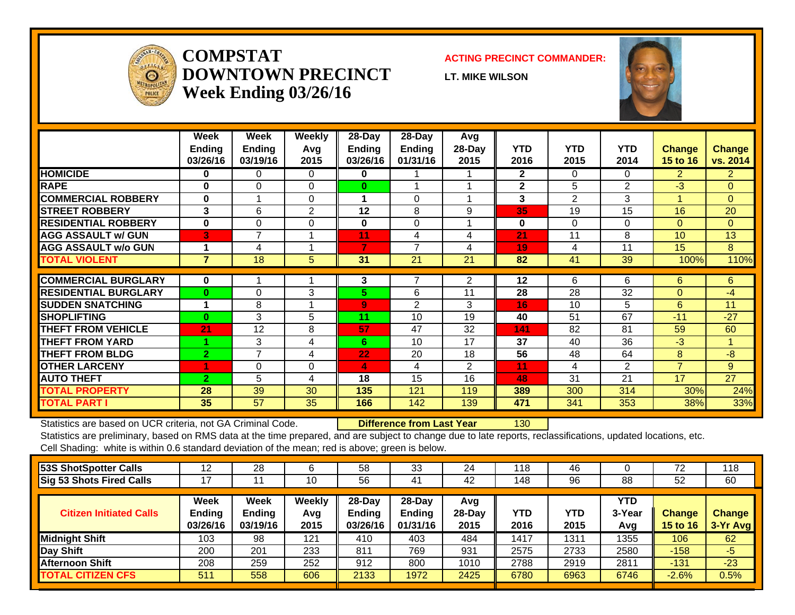# **BEAT 11 West Chatham PrecinctWeek Ending 03/26/16**



|                             |                           |                           |                           | <b>Last 6 Weeks</b>       |                           |                           |                    |                    |                    |                           |                           |
|-----------------------------|---------------------------|---------------------------|---------------------------|---------------------------|---------------------------|---------------------------|--------------------|--------------------|--------------------|---------------------------|---------------------------|
|                             | <b>Ending</b><br>02/20/16 | <b>Ending</b><br>02/27/16 | <b>Ending</b><br>03/05/16 | <b>Ending</b><br>03/12/16 | <b>Ending</b><br>03/19/16 | <b>Ending</b><br>03/26/16 | <b>YTD</b><br>2016 | <b>YTD</b><br>2015 | <b>YTD</b><br>2014 | <b>Change</b><br>15 to 16 | <b>Change</b><br>vs. 2014 |
| <b>HOMICIDE</b>             | 0                         | $\Omega$                  | $\mathbf{0}$              | 0                         | $\Omega$                  | 0                         | $\mathbf 0$        | $\Omega$           | $\Omega$           | $\Omega$                  | $\overline{0}$            |
| <b>RAPE</b>                 | $\Omega$                  | $\Omega$                  | $\Omega$                  | $\Omega$                  | $\Omega$                  | $\Omega$                  | $\Omega$           | $\Omega$           | $\Omega$           | $\Omega$                  | $\overline{0}$            |
| <b>COMMERCIAL ROBBERY</b>   | $\Omega$                  | $\Omega$                  | $\Omega$                  | $\Omega$                  | $\Omega$                  | 1                         | $\mathbf{1}$       | $\mathbf{1}$       | $\Omega$           | $\Omega$                  | $\mathbf{1}$              |
| <b>STREET ROBBERY</b>       | 0                         | $\Omega$                  | 0                         | $\Omega$                  | $\Omega$                  | $\Omega$                  | 0                  | $\mathbf{1}$       | $\mathbf{1}$       | $-1$                      | $-1$                      |
| <b>RESIDENTIAL ROBBERY</b>  | $\Omega$                  | $\Omega$                  | $\Omega$                  | $\Omega$                  | $\Omega$                  | $\mathbf{0}$              | $\mathbf{0}$       | $\Omega$           | $\Omega$           | $\Omega$                  | $\Omega$                  |
| <b>AGG ASSAULT w/ GUN</b>   | $\mathbf 0$               | $\mathbf 0$               | $\mathbf 0$               | $\Omega$                  | 0                         | $\mathbf 0$               | $\mathbf 0$        | $\mathbf{1}$       | $\mathbf{1}$       | $-1$                      | $-1$                      |
| <b>AGG ASSAULT w/o GUN</b>  | 0                         | 0                         | 0                         | $\Omega$                  | 0                         | $\Omega$                  | 2                  | $\Omega$           | 0                  | $\overline{2}$            | $\overline{2}$            |
| <b>TOTAL VIOLENT</b>        | $\mathbf{0}$              | 0                         | $\mathbf{0}$              | $\mathbf{0}$              | $\mathbf{0}$              | $\mathbf{1}$              | 3                  | 3                  | $\overline{2}$     | 0%                        | 50%                       |
|                             |                           |                           |                           |                           |                           |                           |                    |                    |                    |                           |                           |
| <b>COMMERCIAL BURGLARY</b>  | $\mathbf{0}$              | $\Omega$                  | $\Omega$                  | $\Omega$                  | $\Omega$                  | $\mathbf{0}$              | 0                  | 3                  | 1                  | $-3$                      | $-1$                      |
| <b>RESIDENTIAL BURGLARY</b> | $\mathbf{0}$              | $\Omega$                  | 0                         | $\Omega$                  | $\Omega$                  | $\mathbf{0}$              | 5                  | $\overline{7}$     | 3                  | $-2$                      | $\overline{2}$            |
| <b>SUDDEN SNATCHING</b>     | 0                         | $\Omega$                  | $\Omega$                  | $\Omega$                  | $\Omega$                  | $\Omega$                  | $\Omega$           | $\Omega$           | $\mathbf 0$        | $\Omega$                  | $\overline{0}$            |
| <b>ISHOPLIFTING</b>         | $\Omega$                  | $\Omega$                  | $\Omega$                  | $\Omega$                  | $\Omega$                  | $\Omega$                  | $\Omega$           | $\Omega$           | $\Omega$           | $\Omega$                  | $\Omega$                  |
| <b>THEFT FROM VEHICLE</b>   | 0                         | $\mathbf{1}$              | 0                         | $\overline{2}$            | 1                         | $\mathbf{0}$              | 8                  | 3                  | 12                 | 5                         | $-4$                      |
| <b>THEFT FROM YARD</b>      | 0                         | $\mathbf{1}$              | $\Omega$                  | 1                         | $\Omega$                  | $\mathbf{0}$              | 7                  | 5                  | 6                  | $\overline{2}$            | $\mathbf{1}$              |
| <b>THEFT FROM BLDG</b>      | $\overline{2}$            | 1                         | $\mathbf{1}$              | $\Omega$                  | 1                         | $\Omega$                  | 9                  | 13                 | $\overline{7}$     | $-4$                      | $\overline{2}$            |
| <b>OTHER LARCENY</b>        | 0                         | $\mathbf 0$               | $\mathbf 0$               | $\Omega$                  | $\mathbf{1}$              | $\mathbf{1}$              | $\overline{2}$     | 2                  | $\mathbf 0$        | $\Omega$                  | $\overline{2}$            |
| <b>AUTO THEFT</b>           | $\Omega$                  | $\mathbf{1}$              | 1                         | $\Omega$                  | $\mathbf{1}$              | $\Omega$                  | 5                  | $\overline{7}$     | $\overline{2}$     | $-2$                      | 3                         |
| <b>TOTAL PROPERTY</b>       | $\overline{2}$            | 4                         | $\overline{2}$            | 3                         | 4                         | $\mathbf{1}$              | 36                 | 40                 | 31                 | $-10%$                    | 16%                       |
| <b>TOTAL PART I</b>         | $\overline{2}$            | $\overline{4}$            | $\overline{2}$            | $\overline{3}$            | 4                         | 2 <sup>1</sup>            | 39                 | 43                 | 33                 | $-9%$                     | 18%                       |

 **Difference from Last Year**

-4

Statistics are based on UCR criteria, not GA Criminal Code.

|                                 | Week          | Week          | <b>Week</b>   | Week          | Week          | Week          |      |      |      |                  |                 |
|---------------------------------|---------------|---------------|---------------|---------------|---------------|---------------|------|------|------|------------------|-----------------|
| <b>Shots Fired Calls</b>        | <b>Ending</b> | <b>Endina</b> | <b>Ending</b> | <b>Ending</b> | <b>Ending</b> | <b>Endina</b> | YTD  | YTD  | YTD  | <b>Change</b>    | <b>Change</b>   |
|                                 | 02/20/16      | 02/27/16      | 03/05/16      | 03/12/16      | 03/19/16      | 03/26/16      | 2016 | 2015 | 2014 | 15 to 16 $\vert$ | <b>VS. 2014</b> |
| <b>53S ShotSpotter Calls</b>    |               |               |               |               |               |               |      |      |      | 0%               | 0%              |
| <b>Sig 53 Shots Fired Calls</b> |               |               |               |               |               |               | 4    | 10   | 10   | $-60%$           | $-60%$          |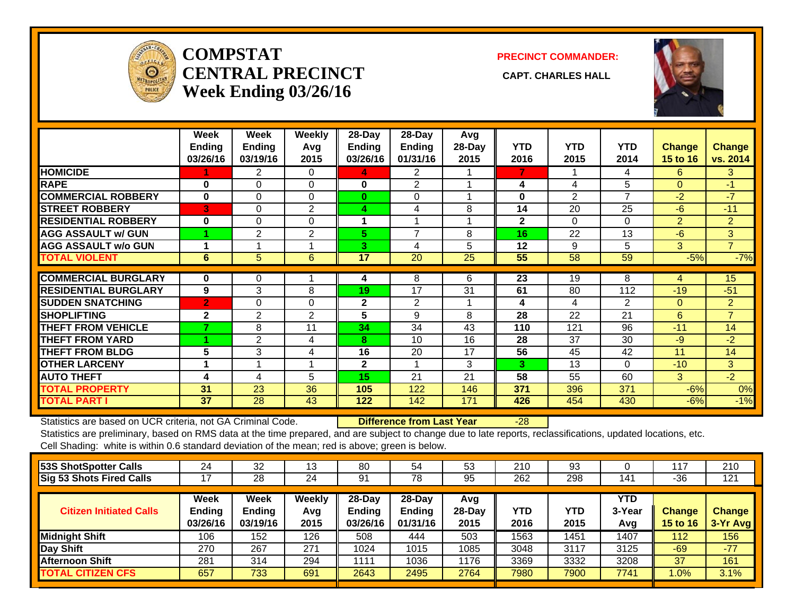# **BEAT 12 West Chatham PrecinctWeek Ending 03/26/16**



|                              |              |                |                | <b>Last 6 Weeks</b> |                |                |                |                |                |                |                |
|------------------------------|--------------|----------------|----------------|---------------------|----------------|----------------|----------------|----------------|----------------|----------------|----------------|
|                              | Ending       | Ending         | <b>Ending</b>  | <b>Ending</b>       | <b>Ending</b>  | <b>Ending</b>  | <b>YTD</b>     | <b>YTD</b>     | <b>YTD</b>     | <b>Change</b>  | Change         |
|                              | 02/20/16     | 02/27/16       | 03/05/16       | 03/12/16            | 03/19/16       | 03/26/16       | 2016           | 2015           | 2014           | 15 to 16       | vs. 2014       |
| <b>HOMICIDE</b>              | 0            | 0              | 0              | $\mathbf 0$         | 0              | 0              | $\mathbf 0$    | $\Omega$       | $\mathbf{0}$   | $\Omega$       | $\overline{0}$ |
| <b>RAPE</b>                  | 0            | $\Omega$       | $\Omega$       | $\Omega$            | $\Omega$       | $\Omega$       | $\Omega$       | $\overline{2}$ | 2              | $-2$           | $-2$           |
| <b>COMMERCIAL ROBBERY</b>    | $\Omega$     | $\Omega$       | $\Omega$       | $\Omega$            | $\Omega$       | $\Omega$       | $\mathbf{1}$   | $\mathbf{1}$   | $\mathbf{1}$   | $\Omega$       | $\overline{0}$ |
| <b>STREET ROBBERY</b>        | $\Omega$     | $\Omega$       | $\Omega$       | $\Omega$            | $\Omega$       | $\mathbf{0}$   | $\overline{2}$ | $\overline{2}$ | $\overline{2}$ | $\Omega$       | $\Omega$       |
| <b>RESIDENTIAL ROBBERY</b>   | $\Omega$     | $\Omega$       | $\mathbf{0}$   | $\Omega$            | $\Omega$       | $\Omega$       | $\Omega$       | $\Omega$       | $\Omega$       | $\Omega$       | $\mathbf{0}$   |
| <b>AGG ASSAULT w/ GUN</b>    | $\Omega$     | $\mathbf 0$    | $\Omega$       | $\Omega$            | $\mathbf{0}$   | $\overline{0}$ | $\mathbf{0}$   | $\mathbf 0$    | $\mathbf 0$    | $\Omega$       | $\mathbf{0}$   |
| <b>AGG ASSAULT w/o GUN</b>   | $\mathbf{0}$ | $\Omega$       | $\Omega$       | $\mathbf{1}$        | $\Omega$       | $\Omega$       | 3              | $\overline{2}$ | $\mathbf{1}$   | $\mathbf{1}$   | $\overline{2}$ |
| <b>TOTAL VIOLENT</b>         | $\mathbf{0}$ | 0              | $\mathbf{0}$   | $\mathbf{1}$        | $\mathbf{0}$   | $\mathbf{0}$   | 6              | $\overline{7}$ | 6              | $-14%$         | 0%             |
| <b>COMMERCIAL BURGLARY</b>   | 0            | 0              | $\Omega$       | 0                   | 1              | $\Omega$       | 2              | 3              | 1              | $-1$           | 1              |
| <b>IRESIDENTIAL BURGLARY</b> | 1            | 3              | 0              | $\overline{2}$      | 4              | 3              | 25             | 19             | 11             | 6              | 14             |
| <b>SUDDEN SNATCHING</b>      | 0            | 0              | 0              | 0                   | 0              | 0              | $\Omega$       | 0              | $\Omega$       | $\overline{0}$ | $\mathbf{0}$   |
| <b>ISHOPLIFTING</b>          | 0            | 3              | $\Omega$       | $\mathbf{1}$        | 1              | $\Omega$       | 10             | $\overline{7}$ | 8              | 3              | $\overline{2}$ |
| <b>THEFT FROM VEHICLE</b>    | $\Omega$     | $\overline{2}$ | $\mathbf{0}$   | 5                   | 1              | $\mathbf{0}$   | 20             | 17             | 12             | 3              | 8              |
| <b>THEFT FROM YARD</b>       | 0            | $\Omega$       | 1              | 1                   | $\Omega$       | $\mathbf{1}$   | 5.             | 6              | 7              | $-1$           | $-2$           |
| <b>THEFT FROM BLDG</b>       | 0            | $\mathbf{1}$   | 1              | 0                   | 1              | 3              | 11             | 5              | 4              | 6              | $\mathbf{7}$   |
| <b>OTHER LARCENY</b>         | 0            | $\mathbf 0$    | $\mathbf{0}$   | $\Omega$            | $\mathbf 0$    | $\overline{0}$ | 4              | $\overline{2}$ | $\Omega$       | $\overline{2}$ | $\overline{4}$ |
| <b>AUTO THEFT</b>            | $\Omega$     | $\overline{2}$ | $\mathbf{0}$   | 4                   | $\overline{2}$ | $\Omega$       | 11             | 11             | 12             | $\Omega$       | $-1$           |
| <b>TOTAL PROPERTY</b>        | $\mathbf{1}$ | 11             | $\overline{2}$ | 13                  | 10             | $\overline{7}$ | 88             | 70             | 55             | 26%            | 60%            |
| <b>TOTAL PART I</b>          | $\mathbf{1}$ | 11             | $\overline{2}$ | 14                  | 10             | $\overline{7}$ | 94             | 77             | 61             | 22%            | 54%            |
|                              |              |                |                |                     |                |                |                |                |                |                |                |

 **Difference from Last Year**<sup>17</sup>

Statistics are based on UCR criteria, not GA Criminal Code.

|                                 | Week          | Week          | <b>Week</b>   | Week          | Week          | Week          |      |      |      |                      |                 |
|---------------------------------|---------------|---------------|---------------|---------------|---------------|---------------|------|------|------|----------------------|-----------------|
| <b>Shots Fired Calls</b>        | <b>Ending</b> | <b>Endina</b> | <b>Ending</b> | <b>Ending</b> | <b>Ending</b> | <b>Endina</b> | YTD  | YTD  | YTD  | <b>Change</b>        | <b>Change</b>   |
|                                 | 02/20/16      | 02/27/16      | 03/05/16      | 03/12/16      | 03/19/16      | 03/26/16      | 2016 | 2015 | 2014 | 15 to 16 $\parallel$ | <b>VS. 2014</b> |
| <b>53S ShotSpotter Calls</b>    |               |               |               |               |               |               |      |      |      | 0%                   | 0%              |
| <b>Sig 53 Shots Fired Calls</b> |               |               |               |               |               |               | 16   | 18   | 21   | $-11%$               | $-24%$          |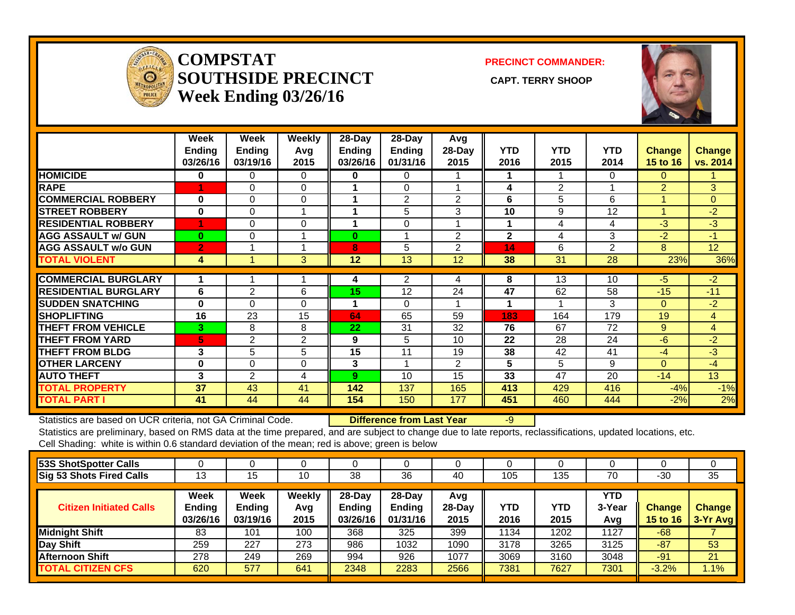# **BEAT 13 West Chatham PrecinctWeek Ending 03/26/16**



|                             |                |                |                | <b>Last 6 Weeks</b> |                |               |                |                |                |                |                |
|-----------------------------|----------------|----------------|----------------|---------------------|----------------|---------------|----------------|----------------|----------------|----------------|----------------|
|                             | Ending         | <b>Ending</b>  | <b>Endina</b>  | <b>Ending</b>       | <b>Ending</b>  | <b>Ending</b> | <b>YTD</b>     | <b>YTD</b>     | <b>YTD</b>     | <b>Change</b>  | Change         |
|                             | 02/20/16       | 02/27/16       | 03/05/16       | 03/12/16            | 03/19/16       | 03/26/16      | 2016           | 2015           | 2014           | 15 to 16       | vs. 2014       |
| <b>HOMICIDE</b>             | 0              | 0              | $\mathbf 0$    | 0                   | 0              | 0             | $\Omega$       | $\Omega$       | 0              | $\Omega$       | $\overline{0}$ |
| <b>RAPE</b>                 | 1              | 0              | $\Omega$       | 0                   | $\Omega$       | $\Omega$      | $\mathbf{1}$   | $\Omega$       | 0              | 1              | 1              |
| <b>COMMERCIAL ROBBERY</b>   | $\Omega$       | 0              | $\Omega$       | 0                   | $\Omega$       | $\Omega$      | $\Omega$       | $\Omega$       | $\Omega$       | $\Omega$       | $\Omega$       |
| <b>STREET ROBBERY</b>       | 0              | 0              | $\Omega$       | 0                   | $\Omega$       | $\Omega$      | $\Omega$       | $\Omega$       | $\mathbf{1}$   | $\mathbf{0}$   | $-1$           |
| <b>RESIDENTIAL ROBBERY</b>  | $\mathbf{1}$   | $\Omega$       | $\Omega$       | $\Omega$            | 1              | $\Omega$      | $\overline{2}$ | $\Omega$       | $\mathbf{1}$   | $\overline{2}$ | $\mathbf{1}$   |
| <b>AGG ASSAULT w/ GUN</b>   | $\mathbf{1}$   | $\mathbf 0$    | 3              | $\Omega$            | $\Omega$       | $\Omega$      | 6              | 4              | $\mathbf{1}$   | $\overline{2}$ | 5 <sup>5</sup> |
| <b>AGG ASSAULT w/o GUN</b>  | 0              | $\Omega$       | $\mathbf{1}$   | $\Omega$            | $\Omega$       | $\Omega$      | 3              | 1              | 1              | 2              | $\overline{2}$ |
| <b>TOTAL VIOLENT</b>        | 3              | 0              | 4              | $\mathbf{0}$        | $\mathbf{1}$   | $\mathbf{0}$  | 12             | 5.             | 4              | 140%           | 200%           |
|                             |                |                |                |                     |                |               |                |                |                |                |                |
| <b>COMMERCIAL BURGLARY</b>  | 0              | $\Omega$       | 0              | 0                   | $\Omega$       | 0             | 2              | $\overline{7}$ | 1              | $-5$           | $\mathbf{1}$   |
| <b>RESIDENTIAL BURGLARY</b> | $\Omega$       | $\Omega$       | $\mathbf{1}$   | 0                   | $\Omega$       | 1             | 8              | 12             | 14             | $-4$           | $-6$           |
| <b>SUDDEN SNATCHING</b>     | 0              | $\Omega$       | $\Omega$       | 0                   | $\Omega$       | $\Omega$      | 0              | $\overline{2}$ | $\Omega$       | $-2$           | $\Omega$       |
| <b>SHOPLIFTING</b>          | $\Omega$       | $\mathbf 0$    | $\mathbf{1}$   | $\Omega$            | $\Omega$       | $\mathbf 0$   | $\mathbf{1}$   | 3              | $\overline{2}$ | $-2$           | $-1$           |
| <b>THEFT FROM VEHICLE</b>   | $\mathbf{1}$   | 3              | $\Omega$       | 1                   | 1              | 2             | 21             | 8              | 8              | 13             | 13             |
| <b>THEFT FROM YARD</b>      | 1              | 0              | $\mathbf{0}$   | 1                   | $\Omega$       | $\Omega$      | $\overline{7}$ | 5              | 10             | 2              | $-3$           |
| <b>THEFT FROM BLDG</b>      | 0              | $\Omega$       | $\Omega$       | $\Omega$            | 2              | $\Omega$      | 6              | 6              | 8              | $\Omega$       | $-2$           |
| <b>OTHER LARCENY</b>        | $\mathbf{1}$   | $\Omega$       | $\Omega$       | $\Omega$            | $\Omega$       | $\Omega$      | $\mathbf{1}$   | $\Omega$       | $\mathbf{1}$   | $\mathbf{1}$   | $\overline{0}$ |
| <b>AUTO THEFT</b>           | $\mathbf{1}$   | $\overline{2}$ | $\mathbf{1}$   | $\Omega$            | $\Omega$       | $\mathbf{1}$  | $\overline{7}$ | 11             | 5              | $-4$           | $\overline{2}$ |
| <b>TOTAL PROPERTY</b>       | 4              | 5              | 3              | $\overline{2}$      | $\overline{3}$ | 4             | 53             | 54             | 49             | $-2%$          | 8%             |
| <b>TOTAL PART I</b>         | $\overline{7}$ | 5              | $\overline{7}$ | $\overline{2}$      | 4              | 4             | 65             | 59             | 53             | 10%            | 23%            |

 **Difference from Last Year**

<sup>6</sup>

Statistics are based on UCR criteria, not GA Criminal Code.

|                                 | Week              | Week          | <b>Week</b>   | Week          | Week          | Week          |      |            |      |                      |                 |
|---------------------------------|-------------------|---------------|---------------|---------------|---------------|---------------|------|------------|------|----------------------|-----------------|
| <b>Shots Fired Calls</b>        | <b>Ending</b>     | <b>Ending</b> | <b>Endina</b> | <b>Ending</b> | <b>Ending</b> | <b>Endina</b> | YTD  | <b>YTD</b> | YTD  | <b>Change</b>        | <b>Change</b>   |
|                                 | 02/20/16 02/27/16 |               | 03/05/16      | 03/12/16      | 03/19/16      | 03/26/16      | 2016 | 2015       | 2014 | 15 to 16 $\parallel$ | <b>vs. 2014</b> |
| <b>53S ShotSpotter Calls</b>    |                   |               |               |               |               |               |      |            |      | <b>NA</b>            | <b>NAI</b>      |
| <b>Sig 53 Shots Fired Calls</b> |                   |               | Δ             |               |               |               | 35   | 21         | 13   | 67%                  | 169%            |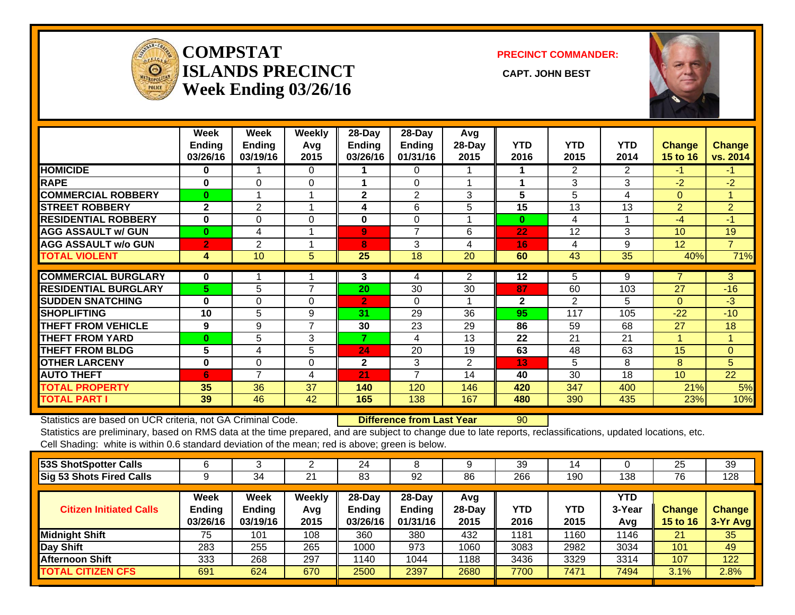# **BEAT 14 West Chatham PrecinctWeek Ending 03/26/16**



|                             |                |              |                | <b>Last 6 Weeks</b> |                |              |                |                |                |                |                |
|-----------------------------|----------------|--------------|----------------|---------------------|----------------|--------------|----------------|----------------|----------------|----------------|----------------|
|                             | <b>Ending</b>  | Ending       | <b>Ending</b>  | <b>Ending</b>       | <b>Ending</b>  | Ending       | <b>YTD</b>     | <b>YTD</b>     | <b>YTD</b>     | <b>Change</b>  | <b>Change</b>  |
|                             | 02/20/16       | 02/27/16     | 03/05/16       | 03/12/16            | 03/19/16       | 03/26/16     | 2016           | 2015           | 2014           | 15 to 16       | vs. 2014       |
| <b>HOMICIDE</b>             | $\mathbf{0}$   | $\Omega$     | $\Omega$       | $\Omega$            | $\Omega$       | $\Omega$     | $\mathbf{0}$   | $\Omega$       | $\Omega$       | $\Omega$       | $\Omega$       |
| <b>RAPE</b>                 | $\Omega$       | $\Omega$     | $\Omega$       | $\Omega$            | $\Omega$       | $\Omega$     | $\Omega$       | $\Omega$       | $\overline{2}$ | $\Omega$       | $-2$           |
| <b>COMMERCIAL ROBBERY</b>   | $\Omega$       | $\Omega$     | $\Omega$       | $\Omega$            | $\Omega$       | $\mathbf{0}$ | $\Omega$       | $\Omega$       | $\Omega$       | $\Omega$       | $\Omega$       |
| <b>STREET ROBBERY</b>       | $\Omega$       | $\Omega$     | $\Omega$       | $\Omega$            | $\Omega$       | $\Omega$     | $\Omega$       | $\Omega$       | $\mathbf{1}$   | $\Omega$       | $-1$           |
| <b>RESIDENTIAL ROBBERY</b>  | $\Omega$       | $\Omega$     | 0              | $\Omega$            | $\Omega$       | $\Omega$     | $\Omega$       | 0              | $\Omega$       | $\Omega$       | $\mathbf{0}$   |
| <b>AGG ASSAULT w/ GUN</b>   | $\mathbf 0$    | $\mathbf 0$  | $\mathbf 0$    | $\Omega$            | 0              | $\mathbf 0$  | 1              | 0              | $\mathbf 0$    | $\mathbf{1}$   | $\mathbf{1}$   |
| <b>AGG ASSAULT w/o GUN</b>  | $\mathbf 0$    | $\Omega$     | $\Omega$       | $\Omega$            | 1              | $\mathbf{0}$ | $\overline{2}$ | $\mathbf{1}$   | $\mathbf 0$    | $\mathbf{1}$   | $\overline{2}$ |
| <b>TOTAL VIOLENT</b>        | $\mathbf 0$    | $\Omega$     | $\mathbf{0}$   | $\mathbf{0}$        | $\mathbf{1}$   | $\mathbf{0}$ | 3              | $\mathbf{1}$   | 3              | 200%           | 0%             |
| <b>COMMERCIAL BURGLARY</b>  | $\Omega$       | $\Omega$     |                | $\Omega$            | $\Omega$       | $\Omega$     | 3              |                |                |                |                |
|                             |                |              | 1              |                     |                |              |                | $\mathbf{1}$   | 0              | $\overline{2}$ | 3              |
| <b>RESIDENTIAL BURGLARY</b> | 1              | 1            | $\Omega$       | $\Omega$            | $\Omega$       | $\mathbf{1}$ | 11             | $\overline{7}$ | $\overline{7}$ | 4              | $\overline{4}$ |
| <b>SUDDEN SNATCHING</b>     | 0              | $\Omega$     | 0              | $\Omega$            | $\Omega$       | $\Omega$     | $\mathbf 0$    | $\Omega$       | $\Omega$       | $\overline{0}$ | $\Omega$       |
| <b>SHOPLIFTING</b>          | $\Omega$       | $\Omega$     | $\Omega$       | $\Omega$            | $\Omega$       | $\mathbf 0$  | $\mathbf{0}$   | $\mathbf{1}$   | $\overline{2}$ | $-1$           | $-2$           |
| <b>THEFT FROM VEHICLE</b>   | $\overline{2}$ | $\Omega$     | 0              | $\Omega$            | $\mathbf{1}$   | $\mathbf{1}$ | 6              | 9              | 20             | $-3$           | $-14$          |
| <b>THEFT FROM YARD</b>      | $\mathbf{1}$   | $\Omega$     | $\Omega$       | 2                   | $\Omega$       | $\Omega$     | $\overline{7}$ | 4              | $\overline{2}$ | 3              | 5              |
| <b>THEFT FROM BLDG</b>      | $\Omega$       | $\Omega$     | $\Omega$       | 1                   | $\Omega$       | $\Omega$     | 3              | $\overline{7}$ | 6              | $-4$           | $-3$           |
| <b>OTHER LARCENY</b>        | $\Omega$       | $\Omega$     | $\Omega$       | $\Omega$            | $\Omega$       | $\Omega$     | $\Omega$       | 4              | $\mathbf{1}$   | $-4$           | $-1$           |
| <b>AUTO THEFT</b>           | $\mathbf{1}$   | $\Omega$     | 1              | $\mathbf{1}$        | $\Omega$       | $\mathbf{1}$ | 5              | 8              | 8              | $-3$           | $-3$           |
| <b>TOTAL PROPERTY</b>       | 5              | $\mathbf{1}$ | $\overline{2}$ | 4                   | $\mathbf{1}$   | 3            | 35             | 41             | 46             | $-15%$         | $-24%$         |
| <b>TOTAL PART I</b>         | 5              | $\mathbf{1}$ | $\overline{2}$ | 4                   | $\overline{2}$ | 3            | 38             | 42             | 49             | $-10%$         | $-22%$         |

 **Difference from Last Year**

-4

Statistics are based on UCR criteria, not GA Criminal Code.

|                                 | Week          | Week          | <b>Week</b>   | Week          | Week          | Week          |      |      |      |                      |                 |
|---------------------------------|---------------|---------------|---------------|---------------|---------------|---------------|------|------|------|----------------------|-----------------|
| <b>Shots Fired Calls</b>        | <b>Ending</b> | <b>Endina</b> | <b>Ending</b> | <b>Ending</b> | <b>Ending</b> | <b>Endina</b> | YTD  | YTD  | YTD  | <b>Change</b>        | <b>Change</b>   |
|                                 | 02/20/16      | 02/27/16      | 03/05/16      | 03/12/16      | 03/19/16      | 03/26/16      | 2016 | 2015 | 2014 | 15 to 16 $\parallel$ | <b>VS. 2014</b> |
| <b>53S ShotSpotter Calls</b>    |               |               |               |               |               |               |      |      |      | 0%                   | 0%              |
| <b>Sig 53 Shots Fired Calls</b> |               |               |               |               |               |               | 34   | 26   | 16   | 31%                  | 113%            |